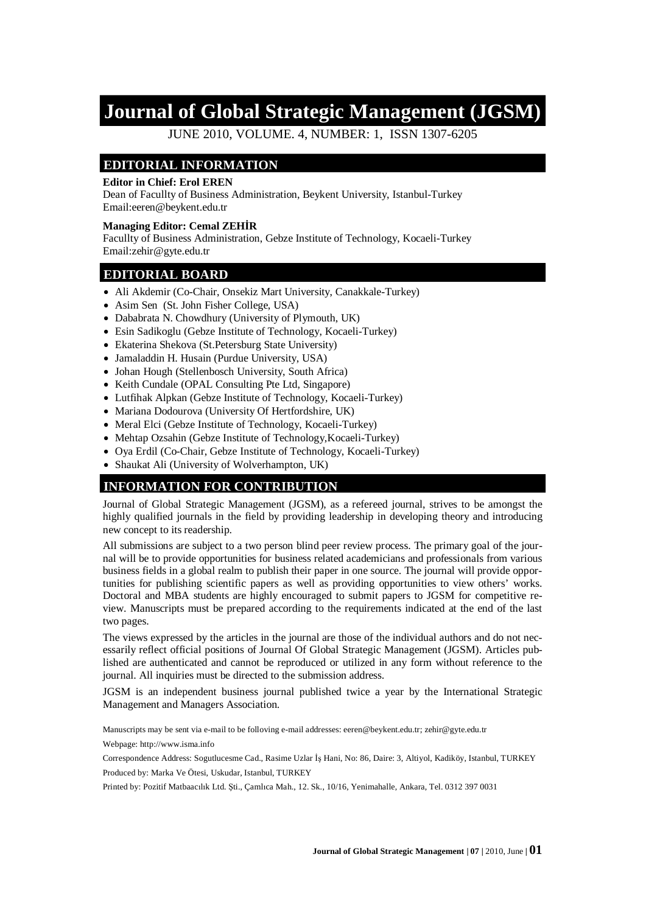# **Journal of Global Strategic Management (JGSM)**

JUNE 2010, VOLUME. 4, NUMBER: 1, ISSN 1307-6205

### **EDITORIAL INFORMATION**

#### **Editor in Chief: Erol EREN**

Dean of Facullty of Business Administration, Beykent University, Istanbul-Turkey Email:eeren@beykent.edu.tr

#### **Managing Editor: Cemal ZEHIR**

Facullty of Business Administration, Gebze Institute of Technology, Kocaeli-Turkey Email:zehir@gyte.edu.tr

#### **EDITORIAL BOARD**

- Ali Akdemir (Co-Chair, Onsekiz Mart University, Canakkale-Turkey)
- Asim Sen (St. John Fisher College, USA)
- Dababrata N. Chowdhury (University of Plymouth, UK)
- Esin Sadikoglu (Gebze Institute of Technology, Kocaeli-Turkey)
- Ekaterina Shekova (St.Petersburg State University)
- Jamaladdin H. Husain (Purdue University, USA)
- Johan Hough (Stellenbosch University, South Africa)
- Keith Cundale (OPAL Consulting Pte Ltd, Singapore)
- Lutfihak Alpkan (Gebze Institute of Technology, Kocaeli-Turkey)
- Mariana Dodourova (University Of Hertfordshire, UK)
- Meral Elci (Gebze Institute of Technology, Kocaeli-Turkey)
- Mehtap Ozsahin (Gebze Institute of Technology, Kocaeli-Turkey)
- Oya Erdil (Co-Chair, Gebze Institute of Technology, Kocaeli-Turkey)
- Shaukat Ali (University of Wolverhampton, UK)

### **INFORMATION FOR CONTRIBUTION**

Journal of Global Strategic Management (JGSM), as a refereed journal, strives to be amongst the highly qualified journals in the field by providing leadership in developing theory and introducing new concept to its readership.

All submissions are subject to a two person blind peer review process. The primary goal of the journal will be to provide opportunities for business related academicians and professionals from various business fields in a global realm to publish their paper in one source. The journal will provide opportunities for publishing scientific papers as well as providing opportunities to view others' works. Doctoral and MBA students are highly encouraged to submit papers to JGSM for competitive review. Manuscripts must be prepared according to the requirements indicated at the end of the last two pages.

The views expressed by the articles in the journal are those of the individual authors and do not necessarily reflect official positions of Journal Of Global Strategic Management (JGSM). Articles published are authenticated and cannot be reproduced or utilized in any form without reference to the journal. All inquiries must be directed to the submission address.

JGSM is an independent business journal published twice a year by the International Strategic Management and Managers Association.

Manuscripts may be sent via e-mail to be folloving e-mail addresses: [eeren@beykent.edu.tr;](mailto:eeren:@beykent.edu.tr) [zehir@gyte.edu.tr](mailto:zehir:@gyte.edu.tr)

Webpage: [http://www.isma.info](http://www.isma.info/)

Correspondence Address: Sogutlucesme Cad., Rasime Uzlar İs Hani, No: 86, Daire: 3, Altiyol, Kadiköy, Istanbul, TURKEY Produced by: Marka Ve Ötesi, Uskudar, Istanbul, TURKEY

Printed by: Pozitif Matbaacılık Ltd. Şti., Çamlıca Mah., 12. Sk., 10/16, Yenimahalle, Ankara, Tel. 0312 397 0031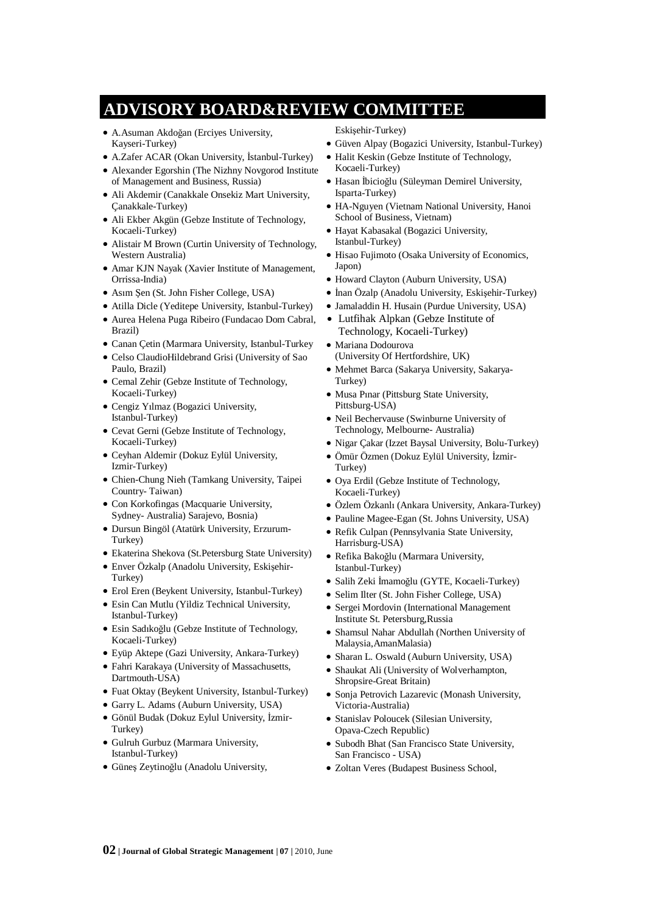# **ADVISORY BOARD&REVIEW COMMITTEE**

- A.Asuman Akdoğan (Erciyes University, Kayseri-Turkey)
- A.Zafer ACAR (Okan University, İstanbul-Turkey)
- Alexander Egorshin (The Nizhny Novgorod Institute of Management and Business, Russia)
- xAli Akdemir (Canakkale Onsekiz Mart University, Çanakkale-Turkey)
- Ali Ekber Akgün (Gebze Institute of Technology, Kocaeli-Turkey)
- Alistair M Brown (Curtin University of Technology, Western Australia)
- Amar KJN Nayak (Xavier Institute of Management, Orrissa-India)
- Asım Sen (St. John Fisher College, USA)
- Atilla Dicle (Yeditepe University, Istanbul-Turkey)
- $\bullet$  Aurea Helena Puga Ribeiro (Fundacao Dom Cabral, Brazil)
- Canan Cetin (Marmara University, Istanbul-Turkey
- Celso ClaudioHildebrand Grisi (University of Sao Paulo, Brazil)
- Cemal Zehir (Gebze Institute of Technology, Kocaeli-Turkey)
- Cengiz Yılmaz (Bogazici University, Istanbul-Turkey)
- Cevat Gerni (Gebze Institute of Technology, Kocaeli-Turkey)
- Ceyhan Aldemir (Dokuz Eylül University, Izmir-Turkey)
- xChien-Chung Nieh (Tamkang University, Taipei Country- Taiwan)
- $\bullet$  Con Korkofingas (Macquarie University, Sydney- Australia) Sarajevo, Bosnia)
- $\bullet$  Dursun Bingöl (Atatürk University, Erzurum-Turkey)
- Ekaterina Shekova (St.Petersburg State University)
- Enver Özkalp (Anadolu University, Eskisehir-Turkey)
- Erol Eren (Beykent University, Istanbul-Turkey)
- Esin Can Mutlu (Yildiz Technical University, Istanbul-Turkey)
- Esin Sadıkoğlu (Gebze Institute of Technology, Kocaeli-Turkey)
- xEyüp Aktepe (Gazi University, Ankara-Turkey)
- Fahri Karakaya (University of Massachusetts, Dartmouth-USA)
- Fuat Oktay (Beykent University, Istanbul-Turkey)
- Garry L. Adams (Auburn University, USA)
- · Gönül Budak (Dokuz Eylul University, İzmir-Turkey)
- Gulruh Gurbuz (Marmara University, Istanbul-Turkey)
- Günes Zeytinoğlu (Anadolu University,
- Eskişehir-Turkey)
- xGüven Alpay (Bogazici University, Istanbul-Turkey)
- $\bullet$  Halit Keskin (Gebze Institute of Technology, Kocaeli-Turkey)
- Hasan İbicioğlu (Süleyman Demirel University, Isparta-Turkey)
- HA-Nguyen (Vietnam National University, Hanoi School of Business, Vietnam)
- · Hayat Kabasakal (Bogazici University, Istanbul-Turkey)
- $\bullet$  Hisao Fujimoto (Osaka University of Economics, Japon)
- $\bullet$  Howard Clayton (Auburn University, USA)
- İnan Özalp (Anadolu University, Eskisehir-Turkey)
- Jamaladdin H. Husain (Purdue University, USA)
- Lutfihak Alpkan (Gebze Institute of Technology, Kocaeli-Turkey)
- · Mariana Dodourova (University Of Hertfordshire, UK)
- $\bullet$  Mehmet Barca (Sakarya University, Sakarya-Turkey)
- Musa Pinar (Pittsburg State University, Pittsburg-USA)
- Neil Bechervause (Swinburne University of Technology, Melbourne- Australia)
- Nigar Çakar (Izzet Baysal University, Bolu-Turkey)
- Ömür Özmen (Dokuz Eylül University, İzmir-Turkey)
- Oya Erdil (Gebze Institute of Technology, Kocaeli-Turkey)
- Özlem Özkanlı (Ankara University, Ankara-Turkey)
- Pauline Magee-Egan (St. Johns University, USA)
- Refik Culpan (Pennsylvania State University, Harrisburg-USA)
- Refika Bakoğlu (Marmara University, Istanbul-Turkey)
- Salih Zeki İmamoğlu (GYTE, Kocaeli-Turkey)
- Selim Ilter (St. John Fisher College, USA)
- Sergei Mordovin (International Management Institute St. Petersburg,Russia
- Shamsul Nahar Abdullah (Northen University of Malaysia,AmanMalasia)
- Sharan L. Oswald (Auburn University, USA)
- Shaukat Ali (University of Wolverhampton, Shropsire-Great Britain)
- Sonja Petrovich Lazarevic (Monash University, Victoria-Australia)
- Stanislav Poloucek (Silesian University, Opava-Czech Republic)
- Subodh Bhat (San Francisco State University, San Francisco - USA)
- $\bullet$  Zoltan Veres (Budapest Business School,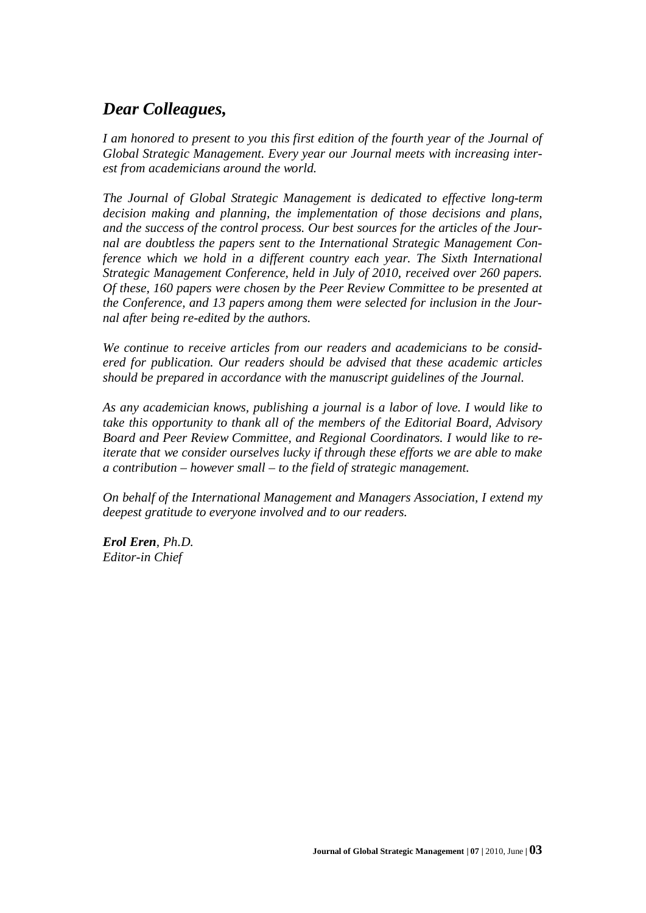## *Dear Colleagues,*

*I am honored to present to you this first edition of the fourth year of the Journal of Global Strategic Management. Every year our Journal meets with increasing interest from academicians around the world.*

*The Journal of Global Strategic Management is dedicated to effective long-term decision making and planning, the implementation of those decisions and plans, and the success of the control process. Our best sources for the articles of the Journal are doubtless the papers sent to the International Strategic Management Conference which we hold in a different country each year. The Sixth International Strategic Management Conference, held in July of 2010, received over 260 papers. Of these, 160 papers were chosen by the Peer Review Committee to be presented at the Conference, and 13 papers among them were selected for inclusion in the Journal after being re-edited by the authors.*

*We continue to receive articles from our readers and academicians to be considered for publication. Our readers should be advised that these academic articles should be prepared in accordance with the manuscript guidelines of the Journal.*

*As any academician knows, publishing a journal is a labor of love. I would like to take this opportunity to thank all of the members of the Editorial Board, Advisory Board and Peer Review Committee, and Regional Coordinators. I would like to reiterate that we consider ourselves lucky if through these efforts we are able to make a contribution – however small – to the field of strategic management.*

*On behalf of the International Management and Managers Association, I extend my deepest gratitude to everyone involved and to our readers.*

*Erol Eren, Ph.D. Editor-in Chief*